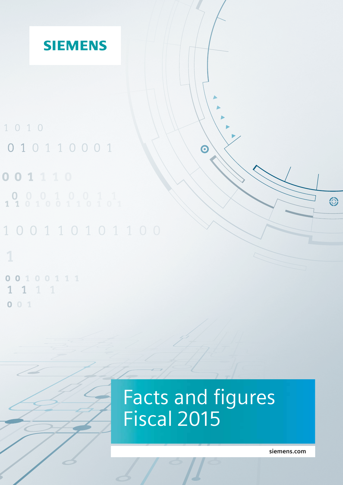

0100111  $\bullet$ 1 1 1  $\overline{1}$  $001$ 

# Facts and figures Fiscal 2015

**[siemens.com](http://siemens.com)**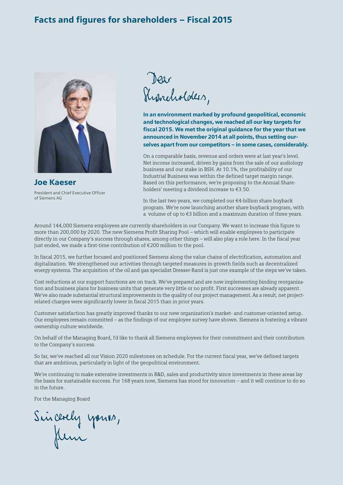### Facts and figures for shareholders – Fiscal 2015



Joe Kaeser President and Chief Executive Officer of Siemens AG

Dear<br>Susneholders,

In an environment marked by profound geopolitical, economic and technological changes, we reached all our key targets for fiscal 2015. We met the original guidance for the year that we announced in November 2014 at all points, thus setting ourselves apart from our competitors – in some cases, considerably.

On a comparable basis, revenue and orders were at last year's level. Net income increased, driven by gains from the sale of our audiology business and our stake in BSH. At 10.1%, the profitability of our Industrial Business was within the defined target margin range. Based on this performance, we're proposing to the Annual Shareholders' meeting a dividend increase to €3.50.

In the last two years, we completed our €4-billion share buyback program. We're now launching another share buyback program, with a volume of up to €3 billion and a maximum duration of three years.

Around 144,000 Siemens employees are currently shareholders in our Company. We want to increase this figure to more than 200,000 by 2020. The new Siemens Profit Sharing Pool – which will enable employees to participate directly in our Company's success through shares, among other things – will also play a role here. In the fiscal year just ended, we made a first-time contribution of €200 million to the pool.

In fiscal 2015, we further focused and positioned Siemens along the value chains of electrification, automation and digitalization. We strengthened our activities through targeted measures in growth fields such as decentralized energy systems. The acquisition of the oil and gas specialist Dresser-Rand is just one example of the steps we've taken.

Cost reductions at our support functions are on track. We've prepared and are now implementing binding reorganization and business plans for business units that generate very little or no profit. First successes are already apparent. We've also made substantial structural improvements in the quality of our project management. As a result, net projectrelated charges were significantly lower in fiscal 2015 than in prior years.

Customer satisfaction has greatly improved thanks to our new organization's market- and customer-oriented setup. Our employees remain committed – as the findings of our employee survey have shown. Siemens is fostering a vibrant ownership culture worldwide.

On behalf of the Managing Board, I'd like to thank all Siemens employees for their commitment and their contribution to the Company's success.

So far, we've reached all our Vision 2020 milestones on schedule. For the current fiscal year, we've defined targets that are ambitious, particularly in light of the geopolitical environment.

We're continuing to make extensive investments in R&D, sales and productivity since investments in these areas lay the basis for sustainable success. For 168 years now, Siemens has stood for innovation - and it will continue to do so in the future.

For the Managing Board

Sincerely yours,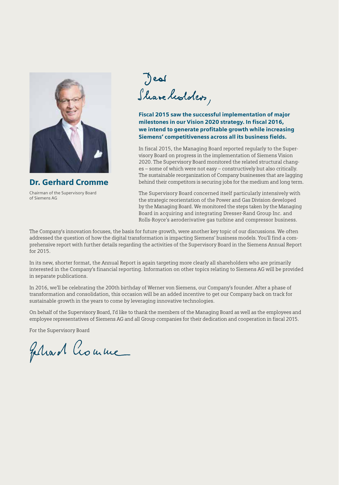

Dr. Gerhard Cromme Chairman of the Supervisory Board of Siemens AG

Jeal Shareheolders,

Fiscal 2015 saw the successful implementation of major milestones in our Vision 2020 strategy. In fiscal 2016, we intend to generate profitable growth while increasing Siemens' competitiveness across all its business fields.

In fiscal 2015, the Managing Board reported regularly to the Supervisory Board on progress in the implementation of Siemens Vision 2020. The Supervisory Board monitored the related structural changes - some of which were not easy - constructively but also critically. The sustainable reorganization of Company businesses that are lagging behind their competitors is securing jobs for the medium and long term.

The Supervisory Board concerned itself particularly intensively with the strategic reorientation of the Power and Gas Division developed by the Managing Board. We monitored the steps taken by the Managing Board in acquiring and integrating Dresser-Rand Group Inc. and Rolls-Royce's aeroderivative gas turbine and compressor business.

The Company's innovation focuses, the basis for future growth, were another key topic of our discussions. We often addressed the question of how the digital transformation is impacting Siemens' business models. You'll find a comprehensive report with further details regarding the activities of the Supervisory Board in the Siemens Annual Report for 2015.

In its new, shorter format, the Annual Report is again targeting more clearly all shareholders who are primarily interested in the Company's financial reporting. Information on other topics relating to Siemens AG will be provided in separate publications.

In 2016, we'll be celebrating the 200th birthday of Werner von Siemens, our Company's founder. After a phase of transformation and consolidation, this occasion will be an added incentive to get our Company back on track for sustainable growth in the years to come by leveraging innovative technologies.

On behalf of the Supervisory Board, I'd like to thank the members of the Managing Board as well as the employees and employee representatives of Siemens AG and all Group companies for their dedication and cooperation in fiscal 2015.

For the Supervisory Board

Feliard Crouwe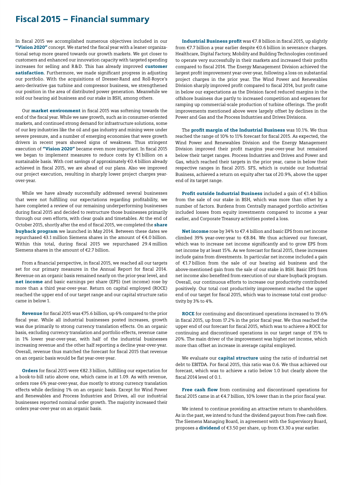## Fiscal 2015 – Financial summary

In fiscal 2015 we accomplished numerous objectives included in our "Vision 2020" concept. We started the fiscal year with a leaner organizational setup more geared towards our growth markets. We got closer to customers and enhanced our innovation capacity with targeted spending increases for selling and R&D. This has already improved customer satisfaction. Furthermore, we made significant progress in adjusting our portfolio. With the acquisitions of Dresser-Rand and Roll-Royce's aero-derivative gas turbine and compressor business, we strengthened our position in the area of distributed power generation. Meanwhile we sold our hearing aid business and our stake in BSH, among others.

Our market environment in fiscal 2015 was softening towards the end of the fiscal year. While we saw growth, such as in consumer-oriented markets, and continued strong demand for infrastructure solutions, some of our key industries like the oil and gas industry and mining were under severe pressure, and a number of emerging economies that were growth drivers in recent years showed signs of weakness. Thus stringent execution of "Vision 2020" became even more important. In fiscal 2015 we began to implement measures to reduce costs by €1 billion on a sustainable basis. With cost savings of approximately €0.4 billion already achieved in fiscal 2015, we are ahead of our plans. Also we improved our project execution, resulting in sharply lower project charges yearover-year.

While we have already successfully addressed several businesses that were not fulfilling our expectations regarding profitability, we have completed a review of our remaining underperforming businesses during fiscal 2015 and decided to restructure those businesses primarily through our own efforts, with clear goals and timetables. At the end of October 2015, shortly after the end of fiscal 2015, we completed the **share** buyback program we launched in May 2014. Between these dates we repurchased 43.1 million Siemens shares in the amount of €4.0 billion. Within this total, during fiscal 2015 we repurchased 29.4 million Siemens shares in the amount of €2.7 billion.

From a financial perspective, in fiscal 2015, we reached all our targets set for our primary measures in the Annual Report for fiscal 2014. Revenue on an organic basis remained nearly on the prior-year level, and net income and basic earnings per share (EPS) (net income) rose by more than a third year-over-year. Return on capital employed (ROCE) reached the upper end of our target range and our capital structure ratio came in below 1.

Revenue for fiscal 2015 was €75.6 billion, up 6% compared to the prior fiscal year. While all industrial businesses posted increases, growth was due primarily to strong currency translation effects. On an organic basis, excluding currency translation and portfolio effects, revenue came in 1% lower year-over-year, with half of the industrial businesses increasing revenue and the other half reporting a decline year-over-year. Overall, revenue thus matched the forecast for fiscal 2015 that revenue on an organic basis would be flat year-over-year.

Orders for fiscal 2015 were €82.3 billion, fulfilling our expectation for a book-to-bill ratio above one, which came in at 1.09. As with revenue, orders rose 6% year-over-year, due mostly to strong currency translation effects while declining 1% on an organic basis. Except for Wind Power and Renewables and Process Industries and Drives, all our industrial businesses reported nominal order growth. The majority increased their orders year-over-year on an organic basis.

Industrial Business profit was €7.8 billion in fiscal 2015, up slightly from €7.7 billion a year earlier despite €0.6 billion in severance charges. Healthcare, Digital Factory, Mobility and Building Technologies continued to operate very successfully in their markets and increased their profits compared to fiscal 2014. The Energy Management Division achieved the largest profit improvement year-over-year, following a loss on substantial project charges in the prior year. The Wind Power and Renewables Division sharply improved profit compared to fiscal 2014, but profit came in below our expectations as the Division faced reduced margins in the offshore business due partly to increased competition and expenses for ramping up commercial-scale production of turbine offerings. The profit improvements mentioned above were largely offset by declines in the Power and Gas and the Process Industries and Drives Divisions.

The profit margin of the Industrial Business was 10.1%. We thus reached the range of 10% to 11% forecast for fiscal 2015. As expected, the Wind Power and Renewables Division and the Energy Management Division improved their profit margins year-over-year but remained below their target ranges. Process Industries and Drives and Power and Gas, which reached their targets in the prior year, came in below their respective ranges in fiscal 2015. SFS, which is outside our Industrial Business, achieved a return on equity after tax of 20.9%, above the upper end of its target range.

Profit outside Industrial Business included a gain of €1.4 billion from the sale of our stake in BSH, which was more than offset by a number of factors. Burdens from Centrally managed portfolio activities included losses from equity investments compared to income a year earlier, and Corporate Treasury activities posted a loss.

Net income rose by 34% to €7.4 billion and basic EPS from net income climbed 39% year-over-year to €8.84. We thus achieved our forecast, which was to increase net income significantly and to grow EPS from net income by at least 15%. As we forecast for fiscal 2015, these increases include gains from divestments. In particular net income included a gain of €1.7 billion from the sale of our hearing aid business and the above-mentioned gain from the sale of our stake in BSH. Basic EPS from net income also benefited from execution of our share buyback program. Overall, our continuous efforts to increase our productivity contributed positively. Our total cost productivity improvement reached the upper end of our target for fiscal 2015, which was to increase total cost productivity by 3% to 4%.

ROCE for continuing and discontinued operations increased to 19.6% in fiscal 2015, up from 17.2% in the prior fiscal year. We thus reached the upper end of our forecast for fiscal 2015, which was to achieve a ROCE for continuing and discontinued operations in our target range of 15% to 20%. The main driver of the improvement was higher net income, which more than offset an increase in average capital employed.

We evaluate our **capital structure** using the ratio of industrial net debt to EBITDA. For fiscal 2015, this ratio was 0.6. We thus achieved our forecast, which was to achieve a ratio below 1.0 but clearly above the fiscal 2014 level of 0.1.

Free cash flow from continuing and discontinued operations for fiscal 2015 came in at €4.7 billion, 10% lower than in the prior fiscal year.

We intend to continue providing an attractive return to shareholders. As in the past, we intend to fund the dividend payout from Free cash flow. The Siemens Managing Board, in agreement with the Supervisory Board, proposes a **dividend** of €3.50 per share, up from €3.30 a year earlier.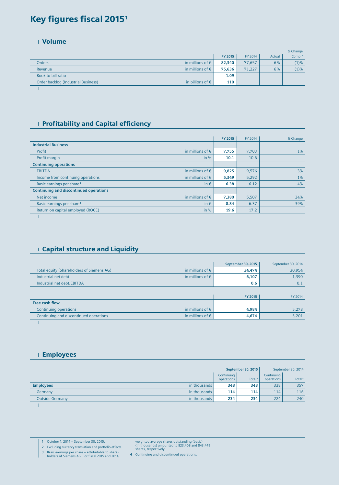## Key figures fiscal 20151

Volume

|                                     |                           |         |         |        | % Change           |
|-------------------------------------|---------------------------|---------|---------|--------|--------------------|
|                                     |                           | FY 2015 | FY 2014 | Actual | Comp. <sup>2</sup> |
| <b>Orders</b>                       | in millions of $\epsilon$ | 82,340  | 77,657  | 6%     | (1)%               |
| Revenue                             | in millions of $\epsilon$ | 75,636  | 71,227  | 6%     | (1)%               |
| Book-to-bill ratio                  |                           | 1.09    |         |        |                    |
| Order backlog (Industrial Business) | in billions of $\epsilon$ | 110     |         |        |                    |

 $\mathbb{I}$ 

#### **Profitability and Capital efficiency**

|                                               |                           | FY 2015 | FY 2014 | % Change |
|-----------------------------------------------|---------------------------|---------|---------|----------|
| <b>Industrial Business</b>                    |                           |         |         |          |
| Profit                                        | in millions of $\epsilon$ | 7,755   | 7,703   | $1\%$    |
| Profit margin                                 | in %                      | 10.1    | 10.6    |          |
| <b>Continuing operations</b>                  |                           |         |         |          |
| <b>EBITDA</b>                                 | in millions of $\epsilon$ | 9,825   | 9,576   | 3%       |
| Income from continuing operations             | in millions of $\epsilon$ | 5,349   | 5,292   | $1\%$    |
| Basic earnings per share <sup>3</sup>         | in $\epsilon$             | 6.38    | 6.12    | 4%       |
| <b>Continuing and discontinued operations</b> |                           |         |         |          |
| Net income                                    | in millions of $\epsilon$ | 7,380   | 5,507   | 34%      |
| Basic earnings per share <sup>3</sup>         | in $\epsilon$             | 8.84    | 6.37    | 39%      |
| Return on capital employed (ROCE)             | in %                      | 19.6    | 17.2    |          |
|                                               |                           |         |         |          |

#### Capital structure and Liquidity

|                                           |                           | <b>September 30, 2015</b> | September 30, 2014 |
|-------------------------------------------|---------------------------|---------------------------|--------------------|
| Total equity (Shareholders of Siemens AG) | in millions of $\epsilon$ | 34,474                    | 30,954             |
| Industrial net debt                       | in millions of $\epsilon$ | 6,107                     | 1,390              |
| Industrial net debt/EBITDA                |                           | 0.6                       | 0.1                |
|                                           |                           |                           |                    |
|                                           |                           | FY 2015                   | FY 2014            |
| Free cash flow                            |                           |                           |                    |
| Continuing operations                     | in millions of $\epsilon$ | 4,984                     | 5,278              |
| Continuing and discontinued operations    | in millions of $\epsilon$ | 4,674                     | 5,201              |
|                                           |                           |                           |                    |

Employees

|                        | September 30, 2015 |                          | September 30, 2014 |                          |                    |
|------------------------|--------------------|--------------------------|--------------------|--------------------------|--------------------|
|                        |                    | Continuing<br>operations | Total <sup>4</sup> | Continuina<br>operations | Total <sup>4</sup> |
| <b>Employees</b>       | in thousands       | 348                      | 348                | 338                      | 357                |
| Germany                | in thousands       | 114                      | 114                | 114                      | 116                |
| <b>Outside Germany</b> | in thousands       | 234                      | 234                | 224                      | 240                |
|                        |                    |                          |                    |                          |                    |

**1** October 1, 2014 – September 30, 2015.

**2** Excluding currency translation and portfolio effects.

weighted average shares outstanding (basic) (in thousands) amounted to 823,408 and 843,449 shares, respectively.

**3** Basic earnings per share – attributable to share-holders of Siemens AG. For fiscal 2015 and 2014,

**<sup>4</sup>** Continuing and discontinued operations.